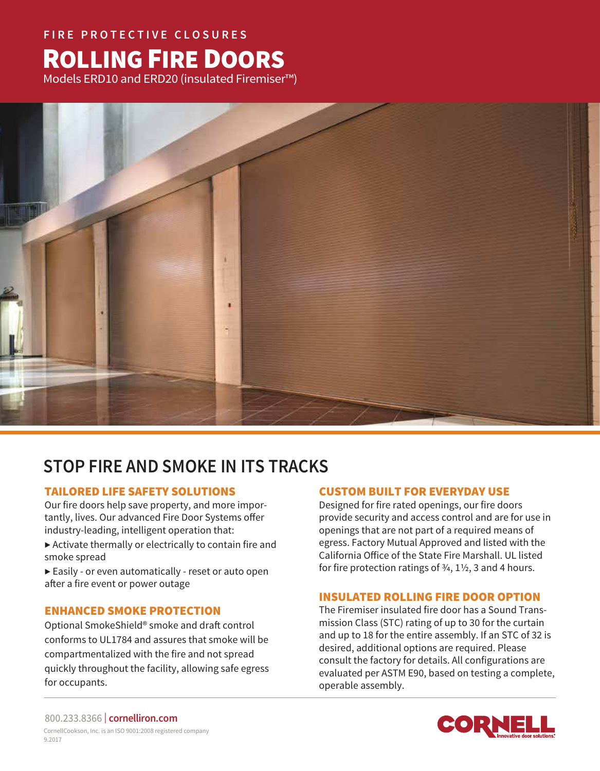# **FIRE PROTECTIVE CLOSURES** ROLLING FIRE DOORS

Models ERD10 and ERD20 (insulated Firemiser™)



# **STOP FIRE AND SMOKE IN ITS TRACKS**

# TAILORED LIFE SAFETY SOLUTIONS

Our fire doors help save property, and more importantly, lives. Our advanced Fire Door Systems offer industry-leading, intelligent operation that:

 $\blacktriangleright$  Activate thermally or electrically to contain fire and smoke spread

▶ Easily - or even automatically - reset or auto open after a fire event or power outage

# ENHANCED SMOKE PROTECTION

Optional SmokeShield® smoke and draft control conforms to UL1784 and assures that smoke will be compartmentalized with the fire and not spread quickly throughout the facility, allowing safe egress for occupants.

# CUSTOM BUILT FOR EVERYDAY USE

Designed for fire rated openings, our fire doors provide security and access control and are for use in openings that are not part of a required means of egress. Factory Mutual Approved and listed with the California Office of the State Fire Marshall. UL listed for fire protection ratings of  $\frac{3}{4}$ ,  $\frac{1}{2}$ , 3 and 4 hours.

# INSULATED ROLLING FIRE DOOR OPTION

The Firemiser insulated fire door has a Sound Transmission Class (STC) rating of up to 30 for the curtain and up to 18 for the entire assembly. If an STC of 32 is desired, additional options are required. Please consult the factory for details. All configurations are evaluated per ASTM E90, based on testing a complete, operable assembly.